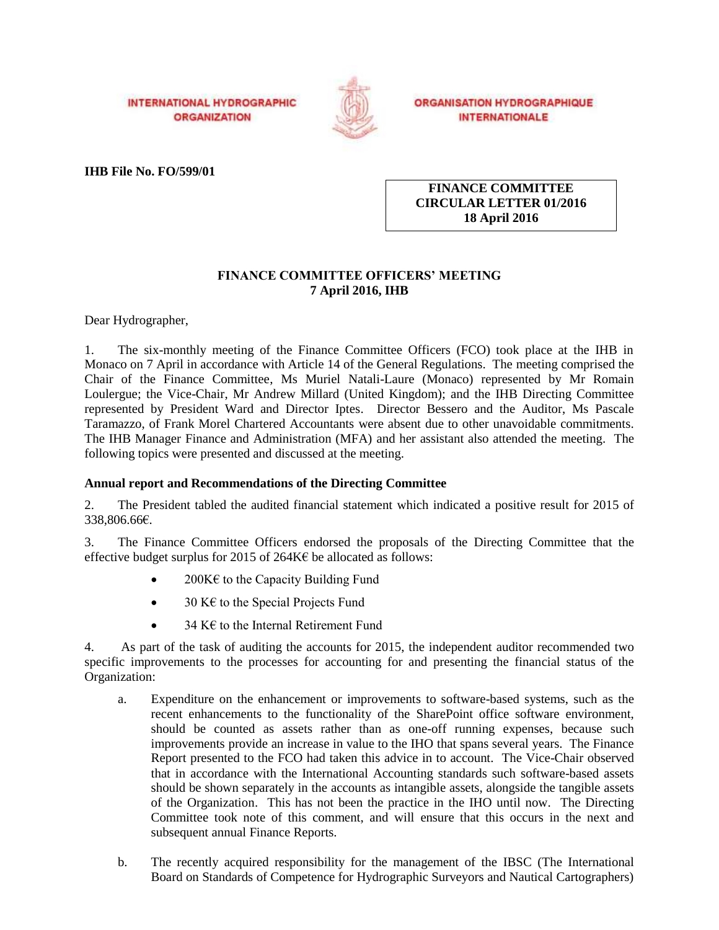**INTERNATIONAL HYDROGRAPHIC ORGANIZATION** 



**ORGANISATION HYDROGRAPHIQUE INTERNATIONALE** 

**IHB File No. FO/599/01**

**FINANCE COMMITTEE CIRCULAR LETTER 01/2016 18 April 2016**

# **FINANCE COMMITTEE OFFICERS' MEETING 7 April 2016, IHB**

Dear Hydrographer,

1. The six-monthly meeting of the Finance Committee Officers (FCO) took place at the IHB in Monaco on 7 April in accordance with Article 14 of the General Regulations. The meeting comprised the Chair of the Finance Committee, Ms Muriel Natali-Laure (Monaco) represented by Mr Romain Loulergue; the Vice-Chair, Mr Andrew Millard (United Kingdom); and the IHB Directing Committee represented by President Ward and Director Iptes. Director Bessero and the Auditor, Ms Pascale Taramazzo, of Frank Morel Chartered Accountants were absent due to other unavoidable commitments. The IHB Manager Finance and Administration (MFA) and her assistant also attended the meeting. The following topics were presented and discussed at the meeting.

# **Annual report and Recommendations of the Directing Committee**

2. The President tabled the audited financial statement which indicated a positive result for 2015 of 338,806.66€.

3. The Finance Committee Officers endorsed the proposals of the Directing Committee that the effective budget surplus for 2015 of 264K $\epsilon$  be allocated as follows:

- 200 $K\epsilon$  to the Capacity Building Fund
- $\bullet$  30 K $\epsilon$  to the Special Projects Fund
- 34 K€ to the Internal Retirement Fund

4. As part of the task of auditing the accounts for 2015, the independent auditor recommended two specific improvements to the processes for accounting for and presenting the financial status of the Organization:

- a. Expenditure on the enhancement or improvements to software-based systems, such as the recent enhancements to the functionality of the SharePoint office software environment, should be counted as assets rather than as one-off running expenses, because such improvements provide an increase in value to the IHO that spans several years. The Finance Report presented to the FCO had taken this advice in to account. The Vice-Chair observed that in accordance with the International Accounting standards such software-based assets should be shown separately in the accounts as intangible assets, alongside the tangible assets of the Organization. This has not been the practice in the IHO until now. The Directing Committee took note of this comment, and will ensure that this occurs in the next and subsequent annual Finance Reports.
- b. The recently acquired responsibility for the management of the IBSC (The International Board on Standards of Competence for Hydrographic Surveyors and Nautical Cartographers)